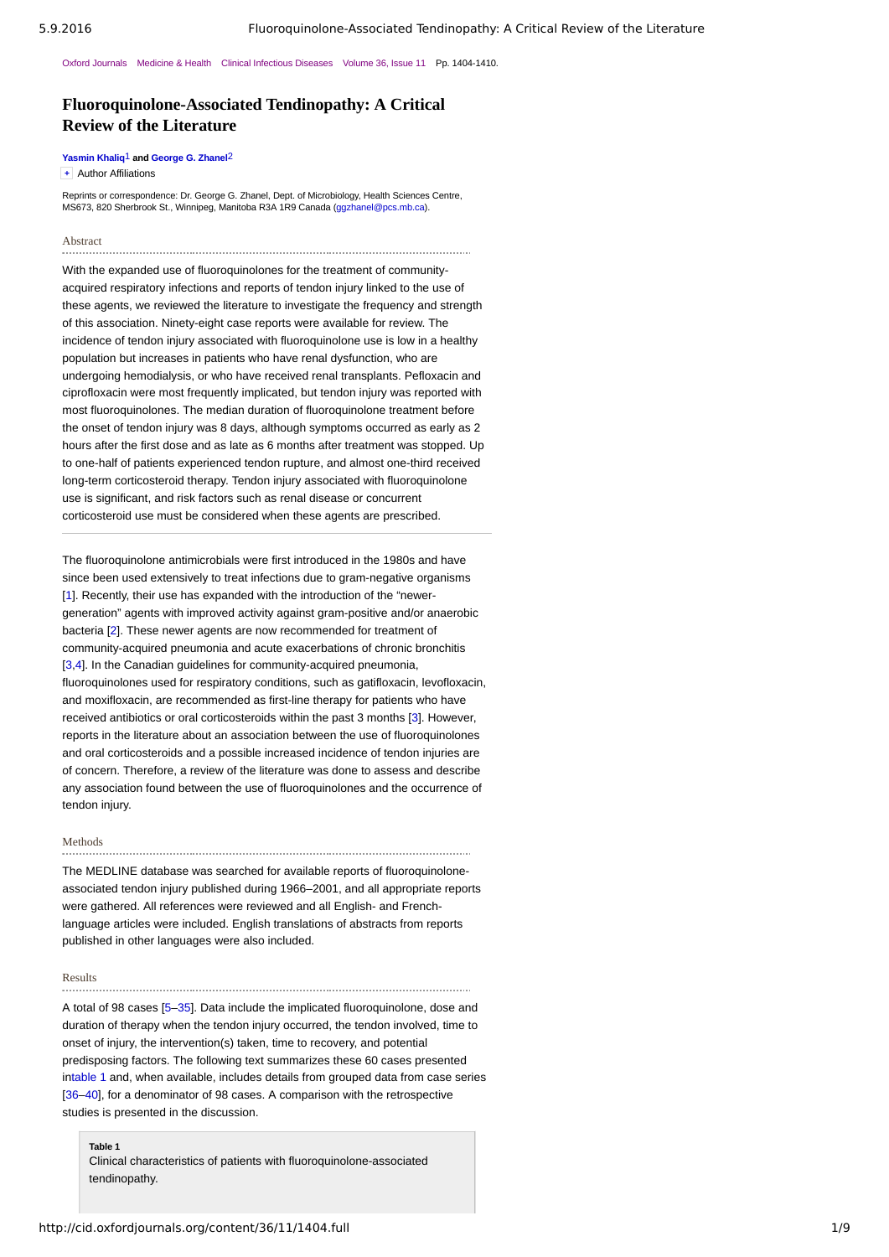Oxford [Journals](http://services.oxfordjournals.org/cgi/tslogin?url=http%3A%2F%2Fwww.oxfordjournals.org) [Medicine](http://www.oxfordjournals.org/subject/medicine/) & Health Clinical [Infectious](http://cid.oxfordjournals.org/) Diseases [Volume](http://cid.oxfordjournals.org/content/36/11.toc) 36, Issue 11 Pp. 1404-1410.

# **FluoroquinoloneAssociated Tendinopathy: A Critical Review of the Literature**

## **[Yasmin](http://cid.oxfordjournals.org/search?author1=Yasmin+Khaliq&sortspec=date&submit=Submit) Khaliq**[1](http://cid.oxfordjournals.org/content/36/11/1404.full#aff-1) **and [George](http://cid.oxfordjournals.org/search?author1=George+G.+Zhanel&sortspec=date&submit=Submit) G. Zhanel**[2](http://cid.oxfordjournals.org/content/36/11/1404.full#aff-2)

**[+](http://cid.oxfordjournals.org/content/36/11/1404.full#)** Author Affiliations

Reprints or correspondence: Dr. George G. Zhanel, Dept. of Microbiology, Health Sciences Centre, MS673, 820 Sherbrook St., Winnipeg, Manitoba R3A 1R9 Canada ([ggzhanel@pcs.mb.ca\)](mailto:ggzhanel@pcs.mb.ca).

### Abstract

With the expanded use of fluoroquinolones for the treatment of communityacquired respiratory infections and reports of tendon injury linked to the use of these agents, we reviewed the literature to investigate the frequency and strength of this association. Ninety-eight case reports were available for review. The incidence of tendon injury associated with fluoroquinolone use is low in a healthy population but increases in patients who have renal dysfunction, who are undergoing hemodialysis, or who have received renal transplants. Pefloxacin and ciprofloxacin were most frequently implicated, but tendon injury was reported with most fluoroquinolones. The median duration of fluoroquinolone treatment before the onset of tendon injury was 8 days, although symptoms occurred as early as 2 hours after the first dose and as late as 6 months after treatment was stopped. Up to one-half of patients experienced tendon rupture, and almost one-third received long-term corticosteroid therapy. Tendon injury associated with fluoroquinolone use is significant, and risk factors such as renal disease or concurrent corticosteroid use must be considered when these agents are prescribed.

The fluoroquinolone antimicrobials were first introduced in the 1980s and have since been used extensively to treat infections due to gram-negative organisms [\[1\]](http://cid.oxfordjournals.org/content/36/11/1404.full#ref-1). Recently, their use has expanded with the introduction of the "newergeneration" agents with improved activity against gram-positive and/or anaerobic bacteria [\[2](http://cid.oxfordjournals.org/content/36/11/1404.full#ref-2)]. These newer agents are now recommended for treatment of community-acquired pneumonia and acute exacerbations of chronic bronchitis [\[3,](http://cid.oxfordjournals.org/content/36/11/1404.full#ref-3)[4\]](http://cid.oxfordjournals.org/content/36/11/1404.full#ref-4). In the Canadian guidelines for community-acquired pneumonia, fluoroquinolones used for respiratory conditions, such as gatifloxacin, levofloxacin, and moxifloxacin, are recommended as first-line therapy for patients who have received antibiotics or oral corticosteroids within the past 3 months [\[3](http://cid.oxfordjournals.org/content/36/11/1404.full#ref-3)]. However, reports in the literature about an association between the use of fluoroquinolones and oral corticosteroids and a possible increased incidence of tendon injuries are of concern. Therefore, a review of the literature was done to assess and describe any association found between the use of fluoroquinolones and the occurrence of tendon injury.

### Methods

The MEDLINE database was searched for available reports of fluoroquinoloneassociated tendon injury published during 1966–2001, and all appropriate reports were gathered. All references were reviewed and all English- and Frenchlanguage articles were included. English translations of abstracts from reports published in other languages were also included.

### Results

A total of 98 cases [[5](http://cid.oxfordjournals.org/content/36/11/1404.full#ref-5)[–35\]](http://cid.oxfordjournals.org/content/36/11/1404.full#ref-35). Data include the implicated fluoroquinolone, dose and duration of therapy when the tendon injury occurred, the tendon involved, time to onset of injury, the intervention(s) taken, time to recovery, and potential predisposing factors. The following text summarizes these 60 cases presented in[table](http://cid.oxfordjournals.org/content/36/11/1404.full#F1) 1 and, when available, includes details from grouped data from case series [\[36](http://cid.oxfordjournals.org/content/36/11/1404.full#ref-36)[–40\]](http://cid.oxfordjournals.org/content/36/11/1404.full#ref-40), for a denominator of 98 cases. A comparison with the retrospective studies is presented in the discussion.

### **Table 1**

Clinical characteristics of patients with fluoroquinolone-associated tendinopathy.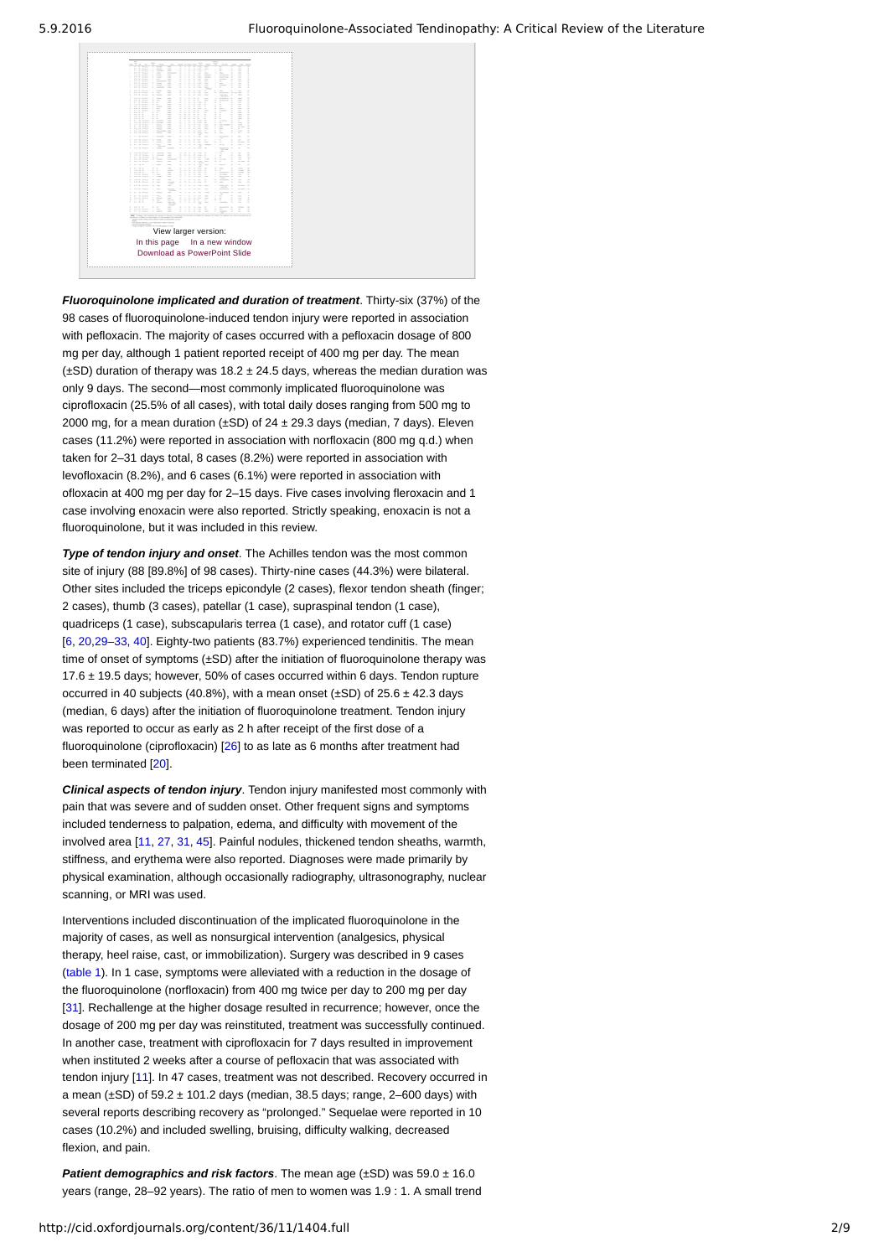

*Fluoroquinolone implicated and duration of treatment*. Thirtysix (37%) of the 98 cases of fluoroquinolone-induced tendon injury were reported in association with pefloxacin. The majority of cases occurred with a pefloxacin dosage of 800 mg per day, although 1 patient reported receipt of 400 mg per day. The mean ( $\pm$ SD) duration of therapy was 18.2  $\pm$  24.5 days, whereas the median duration was only 9 days. The second—most commonly implicated fluoroquinolone was ciprofloxacin (25.5% of all cases), with total daily doses ranging from 500 mg to 2000 mg, for a mean duration ( $\pm$ SD) of 24  $\pm$  29.3 days (median, 7 days). Eleven cases (11.2%) were reported in association with norfloxacin (800 mg q.d.) when taken for 2–31 days total, 8 cases (8.2%) were reported in association with levofloxacin (8.2%), and 6 cases (6.1%) were reported in association with ofloxacin at 400 mg per day for 2–15 days. Five cases involving fleroxacin and 1 case involving enoxacin were also reported. Strictly speaking, enoxacin is not a fluoroquinolone, but it was included in this review.

*Type of tendon injury and onset*. The Achilles tendon was the most common site of injury (88 [89.8%] of 98 cases). Thirty-nine cases (44.3%) were bilateral. Other sites included the triceps epicondyle (2 cases), flexor tendon sheath (finger; 2 cases), thumb (3 cases), patellar (1 case), supraspinal tendon (1 case), quadriceps (1 case), subscapularis terrea (1 case), and rotator cuff (1 case) [\[6,](http://cid.oxfordjournals.org/content/36/11/1404.full#ref-6) [20](http://cid.oxfordjournals.org/content/36/11/1404.full#ref-20),[29](http://cid.oxfordjournals.org/content/36/11/1404.full#ref-29)-33, [40](http://cid.oxfordjournals.org/content/36/11/1404.full#ref-40)]. Eighty-two patients (83.7%) experienced tendinitis. The mean time of onset of symptoms (±SD) after the initiation of fluoroquinolone therapy was 17.6 ± 19.5 days; however, 50% of cases occurred within 6 days. Tendon rupture occurred in 40 subjects (40.8%), with a mean onset ( $\pm$ SD) of 25.6  $\pm$  42.3 days (median, 6 days) after the initiation of fluoroquinolone treatment. Tendon injury was reported to occur as early as 2 h after receipt of the first dose of a fluoroquinolone (ciprofloxacin) [[26](http://cid.oxfordjournals.org/content/36/11/1404.full#ref-26)] to as late as 6 months after treatment had been terminated [[20\]](http://cid.oxfordjournals.org/content/36/11/1404.full#ref-20).

*Clinical aspects of tendon injury*. Tendon injury manifested most commonly with pain that was severe and of sudden onset. Other frequent signs and symptoms included tenderness to palpation, edema, and difficulty with movement of the involved area [[11,](http://cid.oxfordjournals.org/content/36/11/1404.full#ref-11) [27](http://cid.oxfordjournals.org/content/36/11/1404.full#ref-27), [31](http://cid.oxfordjournals.org/content/36/11/1404.full#ref-31), [45\]](http://cid.oxfordjournals.org/content/36/11/1404.full#ref-45). Painful nodules, thickened tendon sheaths, warmth, stiffness, and erythema were also reported. Diagnoses were made primarily by physical examination, although occasionally radiography, ultrasonography, nuclear scanning, or MRI was used.

Interventions included discontinuation of the implicated fluoroquinolone in the majority of cases, as well as nonsurgical intervention (analgesics, physical therapy, heel raise, cast, or immobilization). Surgery was described in 9 cases ([table](http://cid.oxfordjournals.org/content/36/11/1404.full#F1) 1). In 1 case, symptoms were alleviated with a reduction in the dosage of the fluoroquinolone (norfloxacin) from 400 mg twice per day to 200 mg per day [\[31](http://cid.oxfordjournals.org/content/36/11/1404.full#ref-31)]. Rechallenge at the higher dosage resulted in recurrence; however, once the dosage of 200 mg per day was reinstituted, treatment was successfully continued. In another case, treatment with ciprofloxacin for 7 days resulted in improvement when instituted 2 weeks after a course of pefloxacin that was associated with tendon injury [[11\]](http://cid.oxfordjournals.org/content/36/11/1404.full#ref-11). In 47 cases, treatment was not described. Recovery occurred in a mean ( $\pm$ SD) of 59.2  $\pm$  101.2 days (median, 38.5 days; range, 2–600 days) with several reports describing recovery as "prolonged." Sequelae were reported in 10 cases (10.2%) and included swelling, bruising, difficulty walking, decreased flexion, and pain.

*Patient demographics and risk factors*. The mean age (±SD) was 59.0 ± 16.0 years (range, 28–92 years). The ratio of men to women was 1.9 : 1. A small trend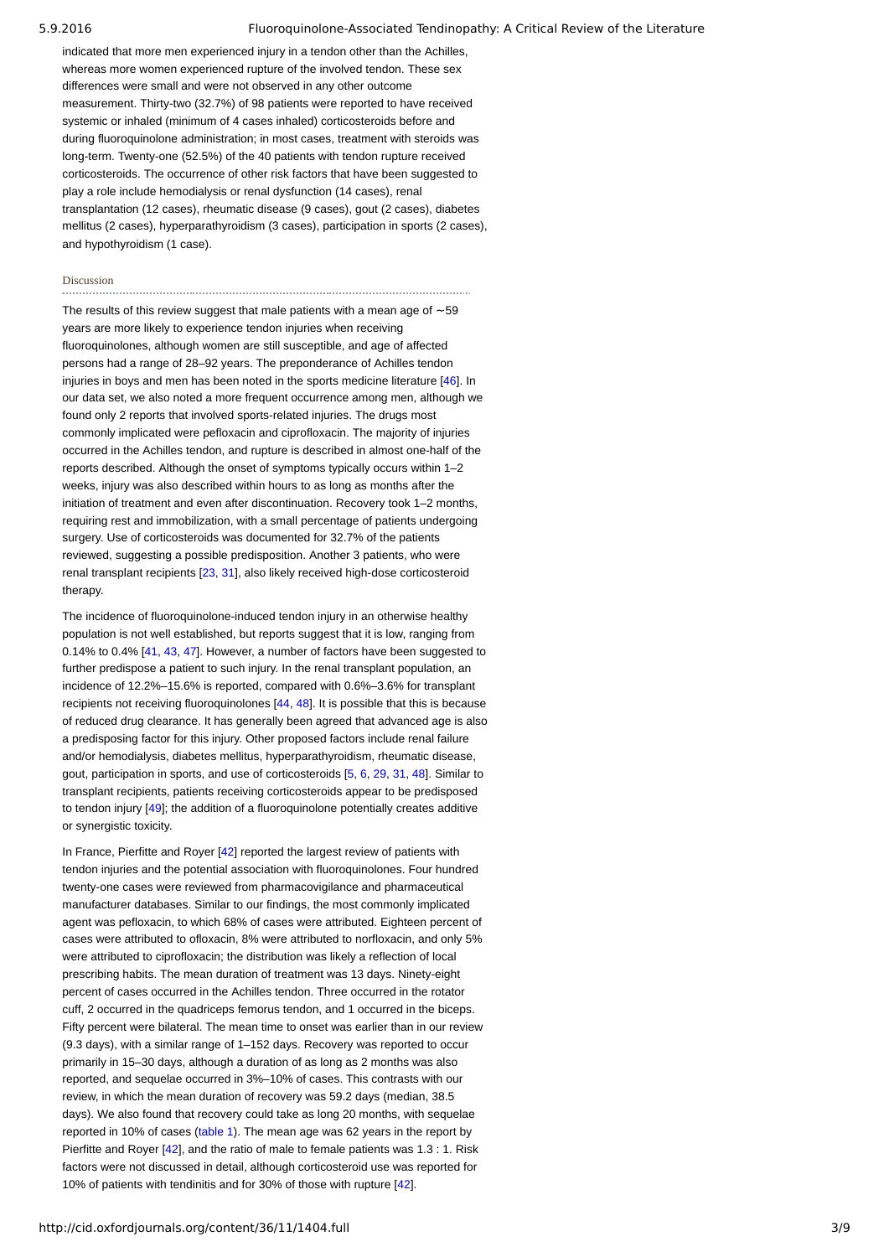indicated that more men experienced injury in a tendon other than the Achilles, whereas more women experienced rupture of the involved tendon. These sex differences were small and were not observed in any other outcome measurement. Thirty-two (32.7%) of 98 patients were reported to have received systemic or inhaled (minimum of 4 cases inhaled) corticosteroids before and during fluoroquinolone administration; in most cases, treatment with steroids was long-term. Twenty-one (52.5%) of the 40 patients with tendon rupture received corticosteroids. The occurrence of other risk factors that have been suggested to play a role include hemodialysis or renal dysfunction (14 cases), renal transplantation (12 cases), rheumatic disease (9 cases), gout (2 cases), diabetes mellitus (2 cases), hyperparathyroidism (3 cases), participation in sports (2 cases), and hypothyroidism (1 case).

# Discussion

The results of this review suggest that male patients with a mean age of ∼59 years are more likely to experience tendon injuries when receiving fluoroquinolones, although women are still susceptible, and age of affected persons had a range of 28–92 years. The preponderance of Achilles tendon injuries in boys and men has been noted in the sports medicine literature [[46](http://cid.oxfordjournals.org/content/36/11/1404.full#ref-46)]. In our data set, we also noted a more frequent occurrence among men, although we found only 2 reports that involved sports-related injuries. The drugs most commonly implicated were pefloxacin and ciprofloxacin. The majority of injuries occurred in the Achilles tendon, and rupture is described in almost onehalf of the reports described. Although the onset of symptoms typically occurs within 1–2 weeks, injury was also described within hours to as long as months after the initiation of treatment and even after discontinuation. Recovery took 1–2 months, requiring rest and immobilization, with a small percentage of patients undergoing surgery. Use of corticosteroids was documented for 32.7% of the patients reviewed, suggesting a possible predisposition. Another 3 patients, who were renal transplant recipients [[23,](http://cid.oxfordjournals.org/content/36/11/1404.full#ref-23) [31](http://cid.oxfordjournals.org/content/36/11/1404.full#ref-31)], also likely received high-dose corticosteroid therapy.

The incidence of fluoroquinolone-induced tendon injury in an otherwise healthy population is not well established, but reports suggest that it is low, ranging from 0.14% to 0.4% [\[41,](http://cid.oxfordjournals.org/content/36/11/1404.full#ref-41) [43,](http://cid.oxfordjournals.org/content/36/11/1404.full#ref-43) [47\]](http://cid.oxfordjournals.org/content/36/11/1404.full#ref-47). However, a number of factors have been suggested to further predispose a patient to such injury. In the renal transplant population, an incidence of 12.2%–15.6% is reported, compared with 0.6%–3.6% for transplant recipients not receiving fluoroquinolones [[44](http://cid.oxfordjournals.org/content/36/11/1404.full#ref-44), [48](http://cid.oxfordjournals.org/content/36/11/1404.full#ref-48)]. It is possible that this is because of reduced drug clearance. It has generally been agreed that advanced age is also a predisposing factor for this injury. Other proposed factors include renal failure and/or hemodialysis, diabetes mellitus, hyperparathyroidism, rheumatic disease, gout, participation in sports, and use of corticosteroids [\[5](http://cid.oxfordjournals.org/content/36/11/1404.full#ref-5), [6](http://cid.oxfordjournals.org/content/36/11/1404.full#ref-6), [29](http://cid.oxfordjournals.org/content/36/11/1404.full#ref-29), [31](http://cid.oxfordjournals.org/content/36/11/1404.full#ref-31), [48](http://cid.oxfordjournals.org/content/36/11/1404.full#ref-48)]. Similar to transplant recipients, patients receiving corticosteroids appear to be predisposed to tendon injury [[49](http://cid.oxfordjournals.org/content/36/11/1404.full#ref-49)]; the addition of a fluoroquinolone potentially creates additive or synergistic toxicity.

In France, Pierfitte and Royer [[42](http://cid.oxfordjournals.org/content/36/11/1404.full#ref-42)] reported the largest review of patients with tendon injuries and the potential association with fluoroquinolones. Four hundred twenty-one cases were reviewed from pharmacovigilance and pharmaceutical manufacturer databases. Similar to our findings, the most commonly implicated agent was pefloxacin, to which 68% of cases were attributed. Eighteen percent of cases were attributed to ofloxacin, 8% were attributed to norfloxacin, and only 5% were attributed to ciprofloxacin; the distribution was likely a reflection of local prescribing habits. The mean duration of treatment was 13 days. Ninety-eight percent of cases occurred in the Achilles tendon. Three occurred in the rotator cuff, 2 occurred in the quadriceps femorus tendon, and 1 occurred in the biceps. Fifty percent were bilateral. The mean time to onset was earlier than in our review (9.3 days), with a similar range of 1–152 days. Recovery was reported to occur primarily in 15–30 days, although a duration of as long as 2 months was also reported, and sequelae occurred in 3%–10% of cases. This contrasts with our review, in which the mean duration of recovery was 59.2 days (median, 38.5 days). We also found that recovery could take as long 20 months, with sequelae reported in 10% of cases [\(table](http://cid.oxfordjournals.org/content/36/11/1404.full#F1) 1). The mean age was 62 years in the report by Pierfitte and Royer [[42](http://cid.oxfordjournals.org/content/36/11/1404.full#ref-42)], and the ratio of male to female patients was 1.3 : 1. Risk factors were not discussed in detail, although corticosteroid use was reported for 10% of patients with tendinitis and for 30% of those with rupture [\[42](http://cid.oxfordjournals.org/content/36/11/1404.full#ref-42)].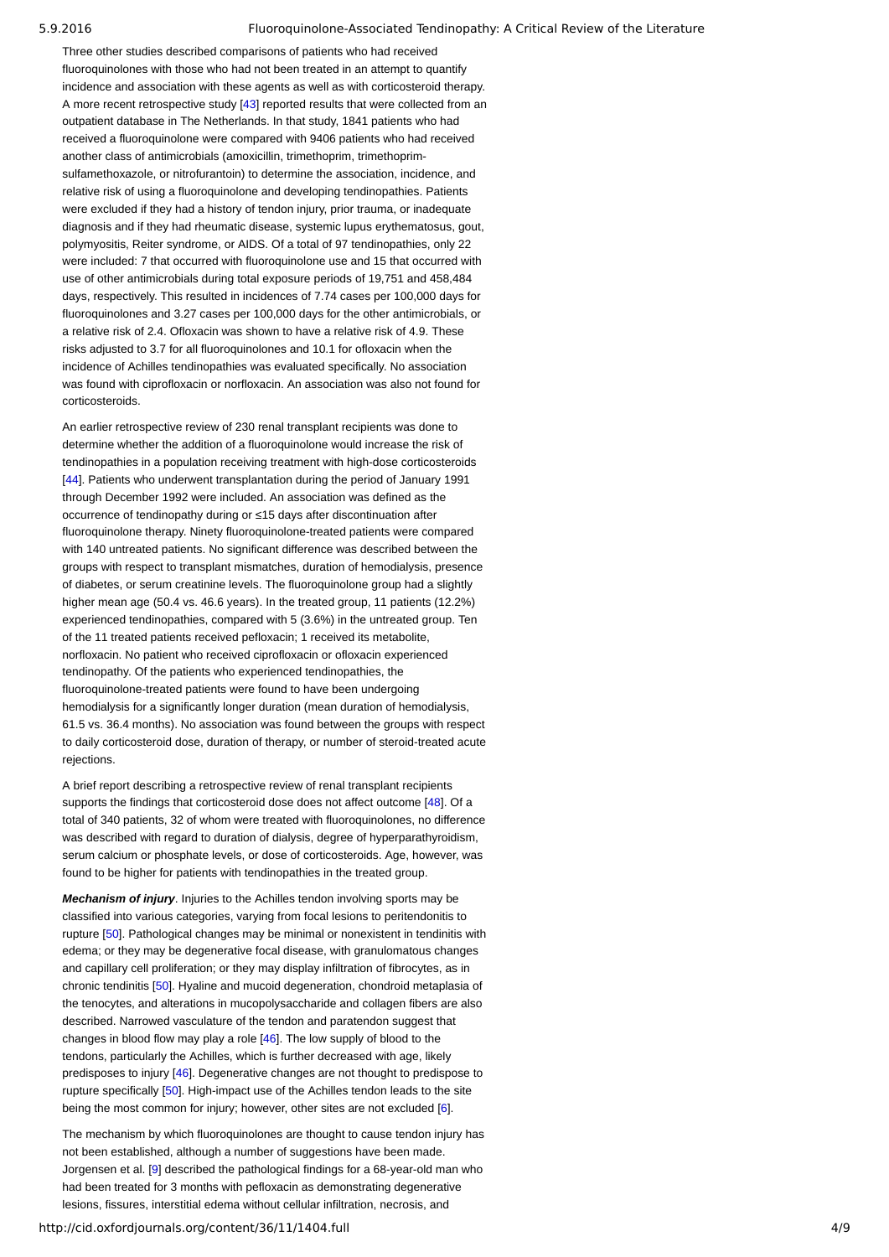Three other studies described comparisons of patients who had received fluoroquinolones with those who had not been treated in an attempt to quantify incidence and association with these agents as well as with corticosteroid therapy. A more recent retrospective study [\[43\]](http://cid.oxfordjournals.org/content/36/11/1404.full#ref-43) reported results that were collected from an outpatient database in The Netherlands. In that study, 1841 patients who had received a fluoroquinolone were compared with 9406 patients who had received another class of antimicrobials (amoxicillin, trimethoprim, trimethoprimsulfamethoxazole, or nitrofurantoin) to determine the association, incidence, and relative risk of using a fluoroquinolone and developing tendinopathies. Patients were excluded if they had a history of tendon injury, prior trauma, or inadequate diagnosis and if they had rheumatic disease, systemic lupus erythematosus, gout, polymyositis, Reiter syndrome, or AIDS. Of a total of 97 tendinopathies, only 22 were included: 7 that occurred with fluoroquinolone use and 15 that occurred with use of other antimicrobials during total exposure periods of 19,751 and 458,484 days, respectively. This resulted in incidences of 7.74 cases per 100,000 days for fluoroquinolones and 3.27 cases per 100,000 days for the other antimicrobials, or a relative risk of 2.4. Ofloxacin was shown to have a relative risk of 4.9. These risks adjusted to 3.7 for all fluoroquinolones and 10.1 for ofloxacin when the incidence of Achilles tendinopathies was evaluated specifically. No association was found with ciprofloxacin or norfloxacin. An association was also not found for corticosteroids.

An earlier retrospective review of 230 renal transplant recipients was done to determine whether the addition of a fluoroquinolone would increase the risk of tendinopathies in a population receiving treatment with high-dose corticosteroids [\[44](http://cid.oxfordjournals.org/content/36/11/1404.full#ref-44)]. Patients who underwent transplantation during the period of January 1991 through December 1992 were included. An association was defined as the occurrence of tendinopathy during or ≤15 days after discontinuation after fluoroquinolone therapy. Ninety fluoroquinolone-treated patients were compared with 140 untreated patients. No significant difference was described between the groups with respect to transplant mismatches, duration of hemodialysis, presence of diabetes, or serum creatinine levels. The fluoroquinolone group had a slightly higher mean age (50.4 vs. 46.6 years). In the treated group, 11 patients (12.2%) experienced tendinopathies, compared with 5 (3.6%) in the untreated group. Ten of the 11 treated patients received pefloxacin; 1 received its metabolite, norfloxacin. No patient who received ciprofloxacin or ofloxacin experienced tendinopathy. Of the patients who experienced tendinopathies, the fluoroquinolone-treated patients were found to have been undergoing hemodialysis for a significantly longer duration (mean duration of hemodialysis, 61.5 vs. 36.4 months). No association was found between the groups with respect to daily corticosteroid dose, duration of therapy, or number of steroid-treated acute rejections.

A brief report describing a retrospective review of renal transplant recipients supports the findings that corticosteroid dose does not affect outcome [[48](http://cid.oxfordjournals.org/content/36/11/1404.full#ref-48)]. Of a total of 340 patients, 32 of whom were treated with fluoroquinolones, no difference was described with regard to duration of dialysis, degree of hyperparathyroidism, serum calcium or phosphate levels, or dose of corticosteroids. Age, however, was found to be higher for patients with tendinopathies in the treated group.

*Mechanism of injury*. Injuries to the Achilles tendon involving sports may be classified into various categories, varying from focal lesions to peritendonitis to rupture [[50\]](http://cid.oxfordjournals.org/content/36/11/1404.full#ref-50). Pathological changes may be minimal or nonexistent in tendinitis with edema; or they may be degenerative focal disease, with granulomatous changes and capillary cell proliferation; or they may display infiltration of fibrocytes, as in chronic tendinitis [\[50](http://cid.oxfordjournals.org/content/36/11/1404.full#ref-50)]. Hyaline and mucoid degeneration, chondroid metaplasia of the tenocytes, and alterations in mucopolysaccharide and collagen fibers are also described. Narrowed vasculature of the tendon and paratendon suggest that changes in blood flow may play a role [\[46](http://cid.oxfordjournals.org/content/36/11/1404.full#ref-46)]. The low supply of blood to the tendons, particularly the Achilles, which is further decreased with age, likely predisposes to injury [[46\]](http://cid.oxfordjournals.org/content/36/11/1404.full#ref-46). Degenerative changes are not thought to predispose to rupture specifically [[50](http://cid.oxfordjournals.org/content/36/11/1404.full#ref-50)]. High-impact use of the Achilles tendon leads to the site being the most common for injury; however, other sites are not excluded [\[6](http://cid.oxfordjournals.org/content/36/11/1404.full#ref-6)].

The mechanism by which fluoroquinolones are thought to cause tendon injury has not been established, although a number of suggestions have been made. Jorgensen et al. [[9](http://cid.oxfordjournals.org/content/36/11/1404.full#ref-9)] described the pathological findings for a 68-year-old man who had been treated for 3 months with pefloxacin as demonstrating degenerative lesions, fissures, interstitial edema without cellular infiltration, necrosis, and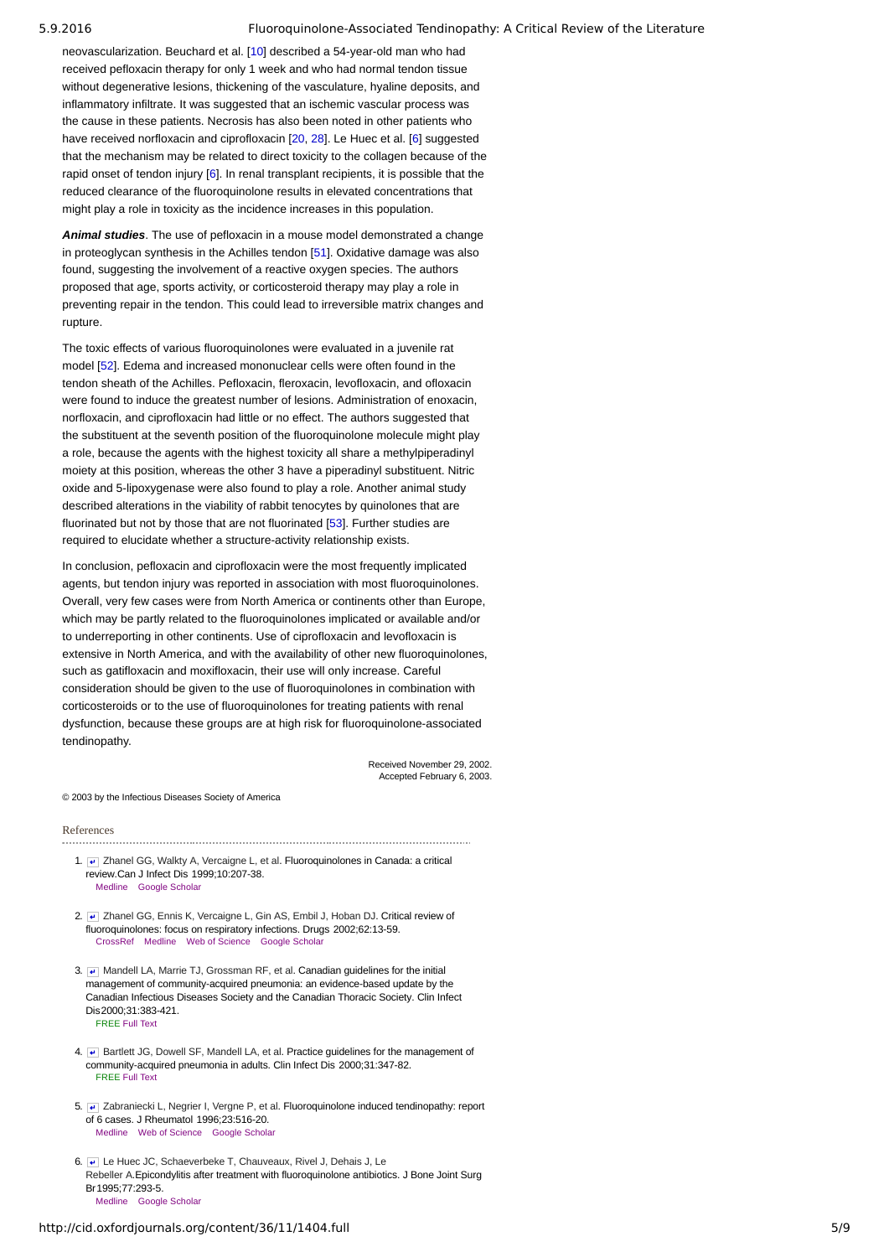neovascularization. Beuchard et al. [[10](http://cid.oxfordjournals.org/content/36/11/1404.full#ref-10)] described a 54-year-old man who had received pefloxacin therapy for only 1 week and who had normal tendon tissue without degenerative lesions, thickening of the vasculature, hyaline deposits, and inflammatory infiltrate. It was suggested that an ischemic vascular process was the cause in these patients. Necrosis has also been noted in other patients who have received norfloxacin and ciprofloxacin [\[20](http://cid.oxfordjournals.org/content/36/11/1404.full#ref-20), [28](http://cid.oxfordjournals.org/content/36/11/1404.full#ref-28)]. Le Huec et al. [\[6\]](http://cid.oxfordjournals.org/content/36/11/1404.full#ref-6) suggested that the mechanism may be related to direct toxicity to the collagen because of the rapid onset of tendon injury [[6\]](http://cid.oxfordjournals.org/content/36/11/1404.full#ref-6). In renal transplant recipients, it is possible that the reduced clearance of the fluoroquinolone results in elevated concentrations that might play a role in toxicity as the incidence increases in this population.

*Animal studies*. The use of pefloxacin in a mouse model demonstrated a change in proteoglycan synthesis in the Achilles tendon [[51](http://cid.oxfordjournals.org/content/36/11/1404.full#ref-51)]. Oxidative damage was also found, suggesting the involvement of a reactive oxygen species. The authors proposed that age, sports activity, or corticosteroid therapy may play a role in preventing repair in the tendon. This could lead to irreversible matrix changes and rupture.

The toxic effects of various fluoroquinolones were evaluated in a juvenile rat model [[52](http://cid.oxfordjournals.org/content/36/11/1404.full#ref-52)]. Edema and increased mononuclear cells were often found in the tendon sheath of the Achilles. Pefloxacin, fleroxacin, levofloxacin, and ofloxacin were found to induce the greatest number of lesions. Administration of enoxacin, norfloxacin, and ciprofloxacin had little or no effect. The authors suggested that the substituent at the seventh position of the fluoroquinolone molecule might play a role, because the agents with the highest toxicity all share a methylpiperadinyl moiety at this position, whereas the other 3 have a piperadinyl substituent. Nitric oxide and 5-lipoxygenase were also found to play a role. Another animal study described alterations in the viability of rabbit tenocytes by quinolones that are fluorinated but not by those that are not fluorinated [[53\]](http://cid.oxfordjournals.org/content/36/11/1404.full#ref-53). Further studies are required to elucidate whether a structure-activity relationship exists.

In conclusion, pefloxacin and ciprofloxacin were the most frequently implicated agents, but tendon injury was reported in association with most fluoroquinolones. Overall, very few cases were from North America or continents other than Europe, which may be partly related to the fluoroquinolones implicated or available and/or to underreporting in other continents. Use of ciprofloxacin and levofloxacin is extensive in North America, and with the availability of other new fluoroquinolones, such as gatifloxacin and moxifloxacin, their use will only increase. Careful consideration should be given to the use of fluoroquinolones in combination with corticosteroids or to the use of fluoroquinolones for treating patients with renal dysfunction, because these groups are at high risk for fluoroquinolone-associated tendinopathy.

> Received November 29, 2002. Accepted February 6, 2003.

© 2003 by the Infectious Diseases Society of America

### References

1. **□** Zhanel GG, Walkty A, Vercaigne L, et al. Fluoroquinolones in Canada: a critical review.Can J Infect Dis 1999;10:207-38. [Medline](http://cid.oxfordjournals.org/external-ref?access_num=22346384&link_type=MED) Google [Scholar](http://scholar.google.com/scholar_lookup?title=Fluoroquinolones%20in%20Canada%3A%20a%20critical%20review&author=GG%20Zhanel&author=A%20Walkty&author=L%20Vercaigne&publication_year=1999&journal=Can%20J%20Infect%20Dis&volume=10&pages=207-38)

- 2. |■ Zhanel GG, Ennis K, Vercaigne L, Gin AS, Embil J, Hoban DJ. Critical review of fluoroquinolones: focus on respiratory infections. Drugs 2002;62:13-59 [CrossRef](http://cid.oxfordjournals.org/external-ref?access_num=10.2165/00003495-200262010-00002&link_type=DOI) [Medline](http://cid.oxfordjournals.org/external-ref?access_num=11790155&link_type=MED) Web of [Science](http://cid.oxfordjournals.org/external-ref?access_num=000174000800002&link_type=ISI) Google [Scholar](http://scholar.google.com/scholar_lookup?title=Critical%20review%20of%20fluoroquinolones%3A%20focus%20on%20respiratory%20infections&author=GG%20Zhanel&author=K%20Ennis&author=L%20Vercaigne&author=AS%20Gin&author=J%20Embil&author=DJ%20Hoban&publication_year=2002&journal=Drugs&volume=62&pages=13-59)
- 3. [↵](http://cid.oxfordjournals.org/content/36/11/1404.full#xref-ref-3-1) Mandell LA, Marrie TJ, Grossman RF, et al. Canadian guidelines for the initial management of community-acquired pneumonia: an evidence-based update by the Canadian Infectious Diseases Society and the Canadian Thoracic Society. Clin Infect Dis 2000;31:383-421. [FREE](http://cid.oxfordjournals.org/cgi/ijlink?linkType=FULL&journalCode=cid&resid=31/2/383) Full Text
- 4. **a** Bartlett JG, Dowell SF, Mandell LA, et al. Practice guidelines for the management of community-acquired pneumonia in adults. Clin Infect Dis 2000;31:347-82. [FREE](http://cid.oxfordjournals.org/cgi/ijlink?linkType=FULL&journalCode=cid&resid=31/2/347) Full Text
- 5.  $\rightarrow$  Zabraniecki L, Negrier I, Vergne P, et al. Fluoroquinolone induced tendinopathy: report of 6 cases. J Rheumatol 1996;23:51620. [Medline](http://cid.oxfordjournals.org/external-ref?access_num=8832995&link_type=MED) Web of [Science](http://cid.oxfordjournals.org/external-ref?access_num=A1996TZ32800022&link_type=ISI) Google [Scholar](http://scholar.google.com/scholar_lookup?title=Fluoroquinolone%20induced%20tendinopathy%3A%20report%20of%206%20cases&author=L%20Zabraniecki&author=I%20Negrier&author=P%20Vergne&publication_year=1996&journal=J%20Rheumatol&volume=23&pages=516-20)
- 6. [↵](http://cid.oxfordjournals.org/content/36/11/1404.full#xref-ref-6-1) Le Huec JC, Schaeverbeke T, Chauveaux, Rivel J, Dehais J, Le Rebeller A.Epicondylitis after treatment with fluoroquinolone antibiotics. J Bone Joint Surg Br 1995;77:293-5. [Medline](http://cid.oxfordjournals.org/external-ref?access_num=7706350&link_type=MED) Google [Scholar](http://scholar.google.com/scholar_lookup?title=Epicondylitis%20after%20treatment%20with%20fluoroquinolone%20antibiotics&author=JC%20Le%20Huec&author=T%20Schaeverbeke&author=Chauveaux&author=J%20Rivel&author=J%20Dehais&author=A%20Le%20Rebeller&publication_year=1995&journal=J%20Bone%20Joint%20Surg%20Br&volume=77&pages=293-5)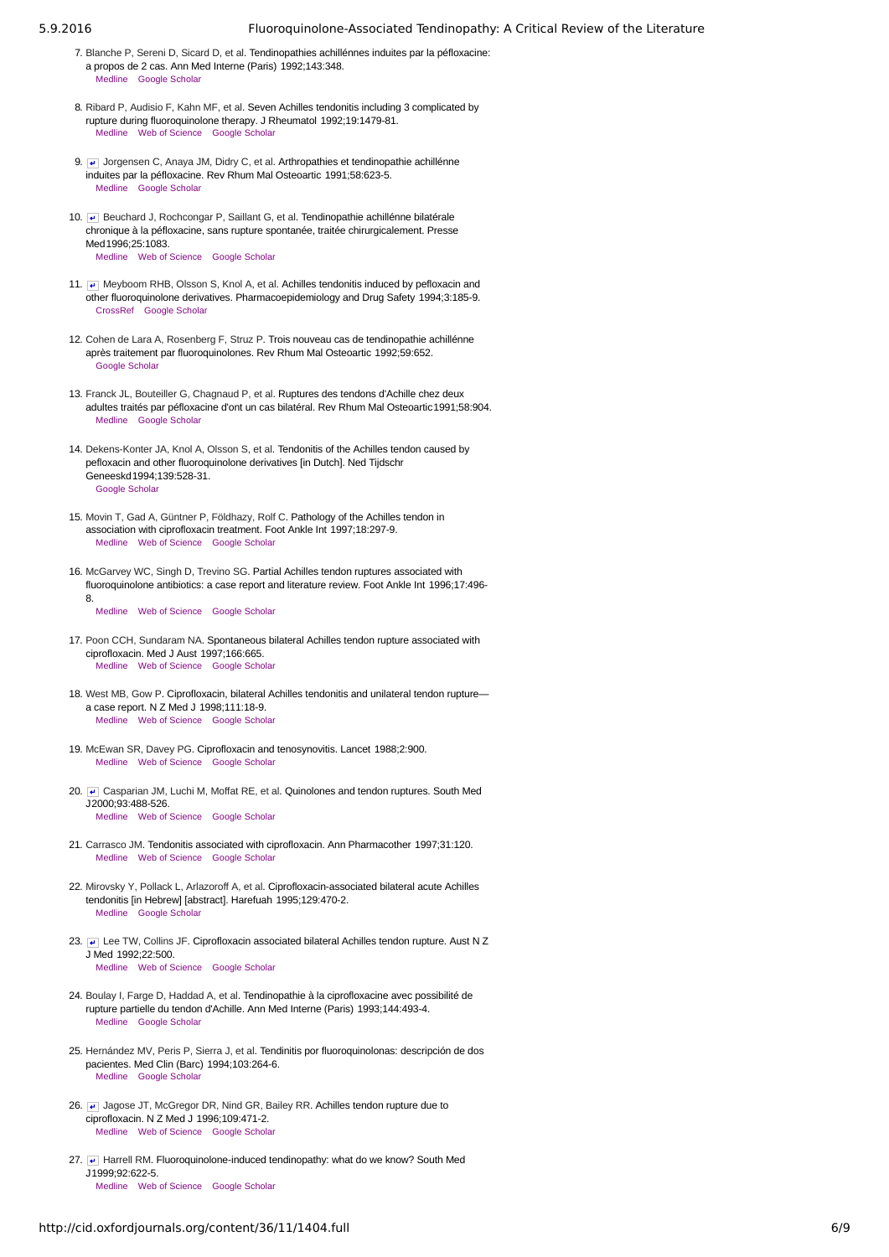- 7. Blanche P, Sereni D, Sicard D, et al. Tendinopathies achillénnes induites par la péfloxacine: a propos de 2 cas. Ann Med Interne (Paris) 1992;143:348. [Medline](http://cid.oxfordjournals.org/external-ref?access_num=1482040&link_type=MED) Google [Scholar](http://scholar.google.com/scholar_lookup?title=Tendinopathies%20achill%C3%A9nnes%20induites%20par%20la%20p%C3%A9floxacine%3A%20a%20propos%20de%202%20cas&author=P%20Blanche&author=D%20Sereni&author=D%20Sicard&publication_year=1992&journal=Ann%20Med%20Interne%20%28Paris%29&volume=143&pages=348)
- 8. Ribard P, Audisio F, Kahn MF, et al. Seven Achilles tendonitis including 3 complicated by rupture during fluoroquinolone therapy. J Rheumatol 1992;19:1479-81. [Medline](http://cid.oxfordjournals.org/external-ref?access_num=1433021&link_type=MED) Web of [Science](http://cid.oxfordjournals.org/external-ref?access_num=A1992JN26900034&link_type=ISI) Google [Scholar](http://scholar.google.com/scholar_lookup?title=Seven%20Achilles%20tendonitis%20including%203%20complicated%20by%20rupture%20during%20fluoroquinolone%20therapy&author=P%20Ribard&author=F%20Audisio&author=MF%20Kahn&publication_year=1992&journal=J%20Rheumatol&volume=19&pages=1479-81)
- 9. Jorgensen C, Anaya JM, Didry C, et al. Arthropathies et tendinopathie achillénne induites par la péfloxacine. Rev Rhum Mal Osteoartic 1991;58:623-5. [Medline](http://cid.oxfordjournals.org/external-ref?access_num=1775911&link_type=MED) Google [Scholar](http://scholar.google.com/scholar_lookup?title=Arthropathies%20et%20tendinopathie%20achill%C3%A9nne%20induites%20par%20la%20p%C3%A9floxacine&author=C%20Jorgensen&author=JM%20Anaya&author=C%20Didry&publication_year=1991&journal=Rev%20Rhum%20Mal%20Osteoartic&volume=58&pages=623-5)
- 10. Beuchard J, Rochcongar P, Saillant G, et al. Tendinopathie achillénne bilatérale chronique à la péfloxacine, sans rupture spontanée, traitée chirurgicalement. Presse Med1996;25:1083. [Medline](http://cid.oxfordjournals.org/external-ref?access_num=8760630&link_type=MED) Web of [Science](http://cid.oxfordjournals.org/external-ref?access_num=A1996UV20200009&link_type=ISI) Google [Scholar](http://scholar.google.com/scholar_lookup?title=Tendinopathie%20achill%C3%A9nne%20bilat%C3%A9rale%20chronique%20%C3%A0%20la%20p%C3%A9floxacine%2C%20sans%20rupture%20spontan%C3%A9e%2C%20trait%C3%A9e%20chirurgicalement&author=J%20Beuchard&author=P%20Rochcongar&author=G%20Saillant&publication_year=1996&journal=Presse%20Med&volume=25&pages=1083)
- 11. Meyboom RHB, Olsson S, Knol A, et al. Achilles tendonitis induced by pefloxacin and other fluoroquinolone derivatives. Pharmacoepidemiology and Drug Safety 1994;3:185-9. [CrossRef](http://cid.oxfordjournals.org/external-ref?access_num=10.1002/pds.2630030402&link_type=DOI) Google [Scholar](http://scholar.google.com/scholar_lookup?title=Achilles%20tendonitis%20induced%20by%20pefloxacin%20and%20other%20fluoroquinolone%20derivatives&author=RHB%20Meyboom&author=S%20Olsson&author=A%20Knol&publication_year=1994&journal=Pharmacoepidemiology%20and%20Drug%20Safety&volume=3&pages=185-9)
- 12. Cohen de Lara A, Rosenberg F, Struz P. Trois nouveau cas de tendinopathie achillénne après traitement par fluoroquinolones. Rev Rhum Mal Osteoartic 1992;59:652. Google [Scholar](http://scholar.google.com/scholar_lookup?title=Trois%20nouveau%20cas%20de%20tendinopathie%20achill%C3%A9nne%20apr%C3%A8s%20traitement%20par%20fluoroquinolones&author=A%20Cohen%20de%20Lara&author=F%20Rosenberg&author=P%20Struz&publication_year=1992&journal=Rev%20Rhum%20Mal%20Osteoartic&volume=59&pages=652)
- 13. Franck JL, Bouteiller G, Chagnaud P, et al. Ruptures des tendons d'Achille chez deux adultes traités par péfloxacine d'ont un cas bilatéral. Rev Rhum Mal Osteoartic1991;58:904. [Medline](http://cid.oxfordjournals.org/external-ref?access_num=1780680&link_type=MED) Google [Scholar](http://scholar.google.com/scholar_lookup?title=Ruptures%20des%20tendons%20d%27Achille%20chez%20deux%20adultes%20trait%C3%A9s%20par%20p%C3%A9floxacine%20d%27ont%20un%20cas%20bilat%C3%A9ral&author=JL%20Franck&author=G%20Bouteiller&author=P%20Chagnaud&publication_year=1991&journal=Rev%20Rhum%20Mal%20Osteoartic&volume=58&pages=904)
- 14. Dekens-Konter JA, Knol A, Olsson S, et al. Tendonitis of the Achilles tendon caused by pefloxacin and other fluoroquinolone derivatives [in Dutch]. Ned Tijdschr Geneeskd 1994:139:528-31. Google [Scholar](http://scholar.google.com/scholar_lookup?title=Tendonitis%20of%20the%20Achilles%20tendon%20caused%20by%20pefloxacin%20and%20other%20fluoroquinolone%20derivatives%20%5Bin%20Dutch%5D&author=JA%20Dekens-Konter&author=A%20Knol&author=S%20Olsson&publication_year=1994&journal=Ned%20Tijdschr%20Geneeskd&volume=139&pages=528-31)
- 15. Movin T, Gad A, Güntner P, Földhazy, Rolf C. Pathology of the Achilles tendon in association with ciprofloxacin treatment. Foot Ankle Int 1997:18:297-9. [Medline](http://cid.oxfordjournals.org/external-ref?access_num=9167931&link_type=MED) Web of [Science](http://cid.oxfordjournals.org/external-ref?access_num=A1997XA88000010&link_type=ISI) Google [Scholar](http://scholar.google.com/scholar_lookup?title=Pathology%20of%20the%20Achilles%20tendon%20in%20association%20with%20ciprofloxacin%20treatment&author=T%20Movin&author=A%20Gad&author=P%20G%C3%BCntner&author=F%C3%B6ldhazy&author=C%20Rolf&publication_year=1997&journal=Foot%20Ankle%20Int&volume=18&pages=297-9)
- 16. McGarvey WC, Singh D, Trevino SG. Partial Achilles tendon ruptures associated with fluoroquinolone antibiotics: a case report and literature review. Foot Ankle Int 1996;17:496 8.

[Medline](http://cid.oxfordjournals.org/external-ref?access_num=8863030&link_type=MED) Web of [Science](http://cid.oxfordjournals.org/external-ref?access_num=A1996VC36300011&link_type=ISI) Google [Scholar](http://scholar.google.com/scholar_lookup?title=Partial%20Achilles%20tendon%20ruptures%20associated%20with%20fluoroquinolone%20antibiotics%3A%20a%20case%20report%20and%20literature%20review&author=WC%20McGarvey&author=D%20Singh&author=SG%20Trevino&publication_year=1996&journal=Foot%20Ankle%20Int&volume=17&pages=496-8)

- 17. Poon CCH, Sundaram NA. Spontaneous bilateral Achilles tendon rupture associated with ciprofloxacin. Med J Aust 1997;166:665. [Medline](http://cid.oxfordjournals.org/external-ref?access_num=9216589&link_type=MED) Web of [Science](http://cid.oxfordjournals.org/external-ref?access_num=A1997XE98200017&link_type=ISI) Google [Scholar](http://scholar.google.com/scholar_lookup?title=Spontaneous%20bilateral%20Achilles%20tendon%20rupture%20associated%20with%20ciprofloxacin&author=CCH%20Poon&author=NA%20Sundaram&publication_year=1997&journal=Med%20J%20Aust&volume=166&pages=665)
- 18. West MB, Gow P. Ciprofloxacin, bilateral Achilles tendonitis and unilateral tendon rupture a case report. N Z Med J 1998;111:18-9. [Medline](http://cid.oxfordjournals.org/external-ref?access_num=9484431&link_type=MED) Web of [Science](http://cid.oxfordjournals.org/external-ref?access_num=000071964800010&link_type=ISI) Google [Scholar](http://scholar.google.com/scholar_lookup?title=Ciprofloxacin%2C%20bilateral%20Achilles%20tendonitis%20and%20unilateral%20tendon%20rupture%E2%80%94a%20case%20report&author=MB%20West&author=P%20Gow&publication_year=1998&journal=N%20Z%20Med%20J&volume=111&pages=18-9)
- 19. McEwan SR, Davey PG. Ciprofloxacin and tenosynovitis. Lancet 1988;2:900. [Medline](http://cid.oxfordjournals.org/external-ref?access_num=2902333&link_type=MED) Web of [Science](http://cid.oxfordjournals.org/external-ref?access_num=A1988Q436600019&link_type=ISI) Google [Scholar](http://scholar.google.com/scholar_lookup?title=Ciprofloxacin%20and%20tenosynovitis&author=SR%20McEwan&author=PG%20Davey&publication_year=1988&journal=Lancet&volume=2&pages=900)
- 20. [↵](http://cid.oxfordjournals.org/content/36/11/1404.full#xref-ref-20-1) Casparian JM, Luchi M, Moffat RE, et al. Quinolones and tendon ruptures. South Med J2000;93:488526. [Medline](http://cid.oxfordjournals.org/external-ref?access_num=10832946&link_type=MED) Web of [Science](http://cid.oxfordjournals.org/external-ref?access_num=000087194700008&link_type=ISI) Google [Scholar](http://scholar.google.com/scholar_lookup?title=Quinolones%20and%20tendon%20ruptures&author=JM%20Casparian&author=M%20Luchi&author=RE%20Moffat&publication_year=2000&journal=South%20Med%20J&volume=93&pages=488-526)
- 21. Carrasco JM. Tendonitis associated with ciprofloxacin. Ann Pharmacother 1997;31:120. [Medline](http://cid.oxfordjournals.org/external-ref?access_num=8997482&link_type=MED) Web of [Science](http://cid.oxfordjournals.org/external-ref?access_num=A1997WC26100024&link_type=ISI) Google [Scholar](http://scholar.google.com/scholar_lookup?title=Tendonitis%20associated%20with%20ciprofloxacin&author=JM%20Carrasco&publication_year=1997&journal=Ann%20Pharmacother&volume=31&pages=120)
- 22. Mirovsky Y, Pollack L, Arlazoroff A, et al. Ciprofloxacin-associated bilateral acute Achilles tendonitis [in Hebrew] [abstract]. Harefuah 1995;129:470-2. [Medline](http://cid.oxfordjournals.org/external-ref?access_num=8846955&link_type=MED) Google [Scholar](http://scholar.google.com/scholar_lookup?title=Ciprofloxacin-associated%20bilateral%20acute%20Achilles%20tendonitis%20%5Bin%20Hebrew%5D%20%5Babstract%5D&author=Y%20Mirovsky&author=L%20Pollack&author=A%20Arlazoroff&publication_year=1995&journal=Harefuah&volume=129&pages=470-2)
- 23. Lee TW, Collins JF. Ciprofloxacin associated bilateral Achilles tendon rupture. Aust N Z J Med 1992;22:500. [Medline](http://cid.oxfordjournals.org/external-ref?access_num=1445042&link_type=MED) Web of [Science](http://cid.oxfordjournals.org/external-ref?access_num=A1992JV89300012&link_type=ISI) Google [Scholar](http://scholar.google.com/scholar_lookup?title=Ciprofloxacin%20associated%20bilateral%20Achilles%20tendon%20rupture&author=TW%20Lee&author=JF%20Collins&publication_year=1992&journal=Aust%20N%20Z%20J%20Med&volume=22&pages=500)
- 24. Boulay I, Farge D, Haddad A, et al. Tendinopathie à la ciprofloxacine avec possibilité de rupture partielle du tendon d'Achille. Ann Med Interne (Paris) 1993;144:493-4. [Medline](http://cid.oxfordjournals.org/external-ref?access_num=8141519&link_type=MED) Google [Scholar](http://scholar.google.com/scholar_lookup?title=Tendinopathie%20%C3%A0%20la%20ciprofloxacine%20avec%20possibilit%C3%A9%20de%20rupture%20partielle%20du%20tendon%20d%27Achille&author=I%20Boulay&author=D%20Farge&author=A%20Haddad&publication_year=1993&journal=Ann%20Med%20Interne%20%28Paris%29&volume=144&pages=493-4)
- 25. Hernández MV, Peris P, Sierra J, et al. Tendinitis por fluoroquinolonas: descripción de dos pacientes. Med Clin (Barc) 1994;103:264-6. [Medline](http://cid.oxfordjournals.org/external-ref?access_num=7934295&link_type=MED) Google [Scholar](http://scholar.google.com/scholar_lookup?title=Tendinitis%20por%20fluoroquinolonas%3A%20descripci%C3%B3n%20de%20dos%20pacientes&author=MV%20Hern%C3%A1ndez&author=P%20Peris&author=J%20Sierra&publication_year=1994&journal=Med%20Clin%20%28Barc%29&volume=103&pages=264-6)
- 26. Jagose JT, McGregor DR, Nind GR, Bailey RR. Achilles tendon rupture due to ciprofloxacin. N Z Med J 1996;109:471-2. [Medline](http://cid.oxfordjournals.org/external-ref?access_num=9006634&link_type=MED) Web of [Science](http://cid.oxfordjournals.org/external-ref?access_num=A1996WA05500014&link_type=ISI) Google [Scholar](http://scholar.google.com/scholar_lookup?title=Achilles%20tendon%20rupture%20due%20to%20ciprofloxacin&author=JT%20Jagose&author=DR%20McGregor&author=GR%20Nind&author=RR%20Bailey&publication_year=1996&journal=N%20Z%20Med%20J&volume=109&pages=471-2)
- 27. Harrell RM. Fluoroquinolone-induced tendinopathy: what do we know? South Med J1999;92:622-5. [Medline](http://cid.oxfordjournals.org/external-ref?access_num=10372859&link_type=MED) Web of [Science](http://cid.oxfordjournals.org/external-ref?access_num=000080827900014&link_type=ISI) Google [Scholar](http://scholar.google.com/scholar_lookup?title=Fluoroquinolone-induced%20tendinopathy%3A%20what%20do%20we%20know%3F&author=RM%20Harrell&publication_year=1999&journal=South%20Med%20J&volume=92&pages=622-5)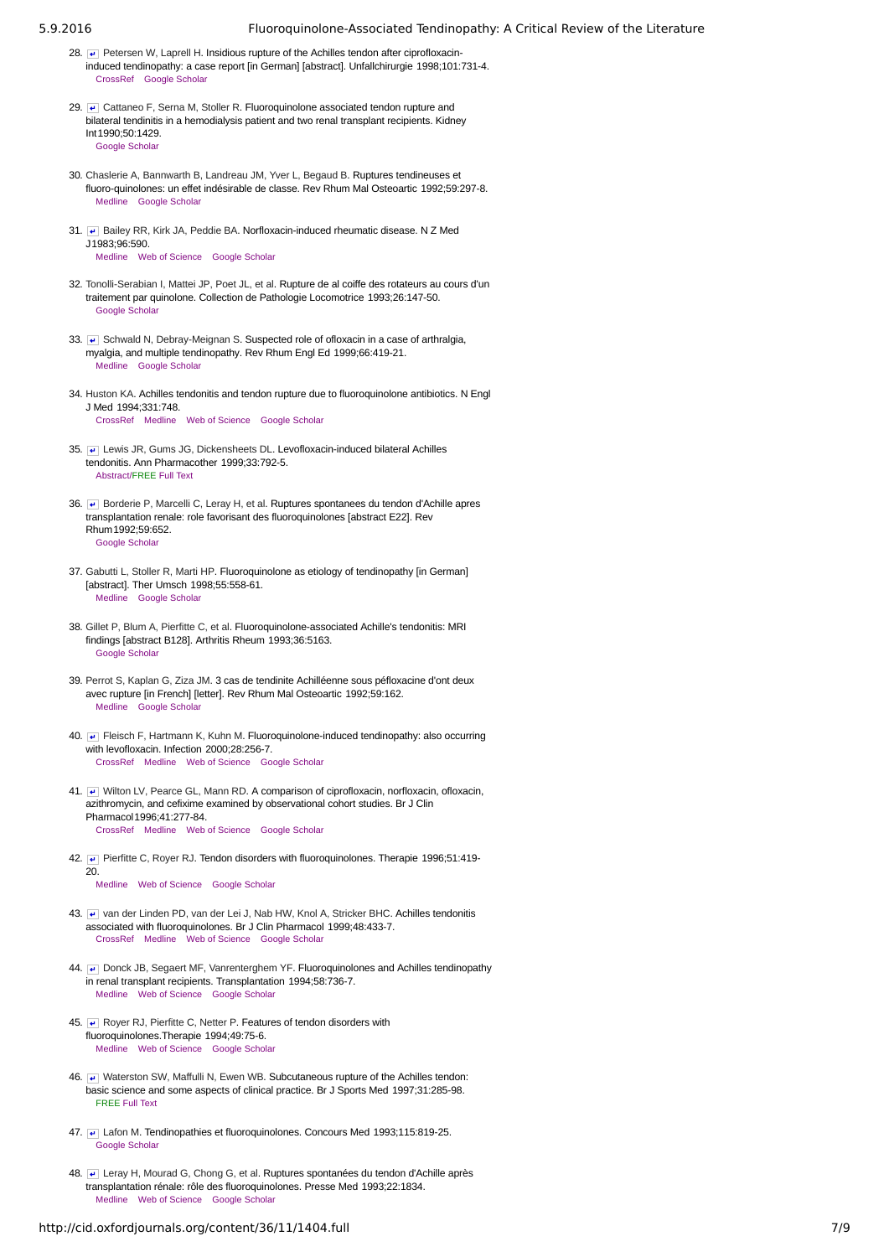- 28.  $\leftrightarrow$  Petersen W, Laprell H. Insidious rupture of the Achilles tendon after ciprofloxacininduced tendinopathy: a case report [in German] [abstract]. Unfallchirurgie 1998;101:731-4. [CrossRef](http://cid.oxfordjournals.org/external-ref?access_num=10.1007/s001130050330&link_type=DOI) Google [Scholar](http://scholar.google.com/scholar_lookup?title=Insidious%20rupture%20of%20the%20Achilles%20tendon%20after%20ciprofloxacin-induced%20tendinopathy%3A%20a%20case%20report%20%5Bin%20German%5D%20%5Babstract%5D&author=W%20Petersen&author=H%20Laprell&publication_year=1998&journal=Unfallchirurgie&volume=101&pages=731-4)
- 29. Cattaneo F, Serna M, Stoller R. Fluoroquinolone associated tendon rupture and bilateral tendinitis in a hemodialysis patient and two renal transplant recipients. Kidney Int1990;50:1429. Google [Scholar](http://scholar.google.com/scholar_lookup?title=Fluoroquinolone%20associated%20tendon%20rupture%20and%20bilateral%20tendinitis%20in%20a%20hemodialysis%20patient%20and%20two%20renal%20transplant%20recipients&author=F%20Cattaneo&author=M%20Serna&author=R%20Stoller&publication_year=1990&journal=Kidney%20Int&volume=50&pages=1429)
- 30. Chaslerie A, Bannwarth B, Landreau JM, Yver L, Begaud B. Ruptures tendineuses et fluoro-quinolones: un effet indésirable de classe. Rev Rhum Mal Osteoartic 1992;59:297-8. [Medline](http://cid.oxfordjournals.org/external-ref?access_num=1496284&link_type=MED) Google [Scholar](http://scholar.google.com/scholar_lookup?title=Ruptures%20tendineuses%20et%20fluoro-quinolones%3A%20un%20effet%20ind%C3%A9sirable%20de%20classe&author=A%20Chaslerie&author=B%20Bannwarth&author=JM%20Landreau&author=L%20Yver&author=B%20Begaud&publication_year=1992&journal=Rev%20Rhum%20Mal%20Osteoartic&volume=59&pages=297-8)
- 31. Bailey RR, Kirk JA, Peddie BA. Norfloxacin-induced rheumatic disease. N Z Med J1983;96:590. [Medline](http://cid.oxfordjournals.org/external-ref?access_num=6223241&link_type=MED) Web of [Science](http://cid.oxfordjournals.org/external-ref?access_num=A1983RA51800029&link_type=ISI) Google [Scholar](http://scholar.google.com/scholar_lookup?title=Norfloxacin-induced%20rheumatic%20disease&author=RR%20Bailey&author=JA%20Kirk&author=BA%20Peddie&publication_year=1983&journal=N%20Z%20Med%20J&volume=96&pages=590)
- 32. Tonolli-Serabian I, Mattei JP, Poet JL, et al. Rupture de al coiffe des rotateurs au cours d'un traitement par quinolone. Collection de Pathologie Locomotrice 1993;26:147-50. Google [Scholar](http://scholar.google.com/scholar_lookup?title=Rupture%20de%20al%20coiffe%20des%20rotateurs%20au%20cours%20d%27un%20traitement%20par%20quinolone&author=I%20Tonolli-Serabian&author=JP%20Mattei&author=JL%20Poet&publication_year=1993&journal=Collection%20de%20Pathologie%20Locomotrice&volume=26&pages=147-50)
- 33. Schwald N, Debray-Meignan S. Suspected role of ofloxacin in a case of arthralgia, myalgia, and multiple tendinopathy. Rev Rhum Engl Ed 1999;66:419-21. [Medline](http://cid.oxfordjournals.org/external-ref?access_num=10526383&link_type=MED) Google [Scholar](http://scholar.google.com/scholar_lookup?title=Suspected%20role%20of%20ofloxacin%20in%20a%20case%20of%20arthralgia%2C%20myalgia%2C%20and%20multiple%20tendinopathy&author=N%20Schwald&author=S%20Debray-Meignan&publication_year=1999&journal=Rev%20Rhum%20Engl%20Ed&volume=66&pages=419-21)
- 34. Huston KA. Achilles tendonitis and tendon rupture due to fluoroquinolone antibiotics. N Engl J Med 1994;331:748. [CrossRef](http://cid.oxfordjournals.org/external-ref?access_num=10.1056/NEJM199409153311116&link_type=DOI) [Medline](http://cid.oxfordjournals.org/external-ref?access_num=8058092&link_type=MED) Web of [Science](http://cid.oxfordjournals.org/external-ref?access_num=A1994PF33200030&link_type=ISI) Google [Scholar](http://scholar.google.com/scholar_lookup?title=Achilles%20tendonitis%20and%20tendon%20rupture%20due%20to%20fluoroquinolone%20antibiotics&author=KA%20Huston&publication_year=1994&journal=N%20Engl%20J%20Med&volume=331&pages=748)
- 35. Lewis JR, Gums JG, Dickensheets DL. Levofloxacin-induced bilateral Achilles tendonitis. Ann Pharmacother 1999;33:792-5. [Abstract/FREE](http://cid.oxfordjournals.org/cgi/ijlink?linkType=ABST&journalCode=spaop&resid=33/7-8/792) Full Text
- 36. [↵](http://cid.oxfordjournals.org/content/36/11/1404.full#xref-ref-36-1) Borderie P, Marcelli C, Leray H, et al. Ruptures spontanees du tendon d'Achille apres transplantation renale: role favorisant des fluoroquinolones [abstract E22]. Rev Rhum1992;59:652. Google [Scholar](http://scholar.google.com/scholar_lookup?title=Ruptures%20spontanees%20du%20tendon%20d%27Achille%20apres%20transplantation%20renale%3A%20role%20favorisant%20des%20fluoroquinolones%20%5Babstract%20E22%5D&author=P%20Borderie&author=C%20Marcelli&author=H%20Leray&publication_year=1992&journal=Rev%20Rhum&volume=59&pages=652)
- 37. Gabutti L, Stoller R, Marti HP. Fluoroquinolone as etiology of tendinopathy [in German] [abstract]. Ther Umsch 1998;55:558-61. [Medline](http://cid.oxfordjournals.org/external-ref?access_num=9789471&link_type=MED) Google [Scholar](http://scholar.google.com/scholar_lookup?title=Fluoroquinolone%20as%20etiology%20of%20tendinopathy%20%5Bin%20German%5D%20%5Babstract%5D&author=L%20Gabutti&author=R%20Stoller&author=HP%20Marti&publication_year=1998&journal=Ther%20Umsch&volume=55&pages=558-61)
- 38. Gillet P, Blum A, Pierfitte C, et al. Fluoroquinolone-associated Achille's tendonitis: MRI findings [abstract B128]. Arthritis Rheum 1993;36:5163. Google [Scholar](http://scholar.google.com/scholar_lookup?title=Fluoroquinolone-associated%20Achille%27s%20tendonitis%3A%20MRI%20findings%20%5Babstract%20B128%5D&author=P%20Gillet&author=A%20Blum&author=C%20Pierfitte&publication_year=1993&journal=Arthritis%20Rheum&volume=36&pages=5163)
- 39. Perrot S, Kaplan G, Ziza JM. 3 cas de tendinite Achilléenne sous péfloxacine d'ont deux avec rupture [in French] [letter]. Rev Rhum Mal Osteoartic 1992;59:162. [Medline](http://cid.oxfordjournals.org/external-ref?access_num=1604233&link_type=MED) Google [Scholar](http://scholar.google.com/scholar_lookup?title=3%20cas%20de%20tendinite%20Achill%C3%A9enne%20sous%20p%C3%A9floxacine%20d%27ont%20deux%20avec%20rupture%20%5Bin%20French%5D%20%5Bletter%5D&author=S%20Perrot&author=G%20Kaplan&author=JM%20Ziza&publication_year=1992&journal=Rev%20Rhum%20Mal%20Osteoartic&volume=59&pages=162)
- 40. Fleisch F, Hartmann K, Kuhn M. Fluoroquinolone-induced tendinopathy: also occurring with levofloxacin. Infection 2000;28:256-7. [CrossRef](http://cid.oxfordjournals.org/external-ref?access_num=10.1007/s150100070050&link_type=DOI) [Medline](http://cid.oxfordjournals.org/external-ref?access_num=10961538&link_type=MED) Web of [Science](http://cid.oxfordjournals.org/external-ref?access_num=000088766600017&link_type=ISI) Google [Scholar](http://scholar.google.com/scholar_lookup?title=Fluoroquinolone-induced%20tendinopathy%3A%20also%20occurring%20with%20levofloxacin&author=F%20Fleisch&author=K%20Hartmann&author=M%20Kuhn&publication_year=2000&journal=Infection&volume=28&pages=256-7)
- 41. U Wilton LV, Pearce GL, Mann RD. A comparison of ciprofloxacin, norfloxacin, ofloxacin, azithromycin, and cefixime examined by observational cohort studies. Br J Clin Pharmacol1996:41:277-84 [CrossRef](http://cid.oxfordjournals.org/external-ref?access_num=10.1046/j.1365-2125.1996.03013.x&link_type=DOI) [Medline](http://cid.oxfordjournals.org/external-ref?access_num=8730972&link_type=MED) Web of [Science](http://cid.oxfordjournals.org/external-ref?access_num=A1996UE60800003&link_type=ISI) Google [Scholar](http://scholar.google.com/scholar_lookup?title=A%20comparison%20of%20ciprofloxacin%2C%20norfloxacin%2C%20ofloxacin%2C%20azithromycin%2C%20and%20cefixime%20examined%20by%20observational%20cohort%20studies&author=LV%20Wilton&author=GL%20Pearce&author=RD%20Mann&publication_year=1996&journal=Br%20J%20Clin%20Pharmacol&volume=41&pages=277-84)
- 42. Pierfitte C, Royer RJ. Tendon disorders with fluoroquinolones. Therapie 1996;51:419-20. [Medline](http://cid.oxfordjournals.org/external-ref?access_num=8953821&link_type=MED) Web of [Science](http://cid.oxfordjournals.org/external-ref?access_num=A1996VK22000021&link_type=ISI) Google [Scholar](http://scholar.google.com/scholar_lookup?title=Tendon%20disorders%20with%20fluoroquinolones&author=C%20Pierfitte&author=RJ%20Royer&publication_year=1996&journal=Therapie&volume=51&pages=419-20)
- 43. van der Linden PD, van der Lei J, Nab HW, Knol A, Stricker BHC. Achilles tendonitis associated with fluoroquinolones. Br J Clin Pharmacol 1999;48:433-7. [CrossRef](http://cid.oxfordjournals.org/external-ref?access_num=10.1046/j.1365-2125.1999.00016.x&link_type=DOI) [Medline](http://cid.oxfordjournals.org/external-ref?access_num=10510157&link_type=MED) Web of [Science](http://cid.oxfordjournals.org/external-ref?access_num=000082808900022&link_type=ISI) Google [Scholar](http://scholar.google.com/scholar_lookup?title=Achilles%20tendonitis%20associated%20with%20fluoroquinolones&author=PD%20van%20der%20Linden&author=J%20van%20der%20Lei&author=HW%20Nab&author=A%20Knol&author=BHC%20Stricker&publication_year=1999&journal=Br%20J%20Clin%20Pharmacol&volume=48&pages=433-7)
- 44. Donck JB, Segaert MF, Vanrenterghem YF. Fluoroquinolones and Achilles tendinopathy in renal transplant recipients. Transplantation 1994;58:736-7. [Medline](http://cid.oxfordjournals.org/external-ref?access_num=7940700&link_type=MED) Web of [Science](http://cid.oxfordjournals.org/external-ref?access_num=A1994PK26700021&link_type=ISI) Google [Scholar](http://scholar.google.com/scholar_lookup?title=Fluoroquinolones%20and%20Achilles%20tendinopathy%20in%20renal%20transplant%20recipients&author=JB%20Donck&author=MF%20Segaert&author=YF%20Vanrenterghem&publication_year=1994&journal=Transplantation&volume=58&pages=736-7)
- 45. **⊌** Royer RJ, Pierfitte C, Netter P. Features of tendon disorders with fluoroquinolones.Therapie 1994;49:75-6. [Medline](http://cid.oxfordjournals.org/external-ref?access_num=8091374&link_type=MED) Web of [Science](http://cid.oxfordjournals.org/external-ref?access_num=A1994NK60800021&link_type=ISI) Google [Scholar](http://scholar.google.com/scholar_lookup?title=Features%20of%20tendon%20disorders%20with%20fluoroquinolones&author=RJ%20Royer&author=C%20Pierfitte&author=P%20Netter&publication_year=1994&journal=Therapie&volume=49&pages=75-6)
- 46.  $\leftrightarrow$  Waterston SW, Maffulli N, Ewen WB. Subcutaneous rupture of the Achilles tendon: basic science and some aspects of clinical practice. Br J Sports Med 1997;31:285-98. [FREE](http://cid.oxfordjournals.org/cgi/ijlink?linkType=PDF&journalCode=bjsports&resid=31/4/285) Full Text
- 47. Lafon M. Tendinopathies et fluoroquinolones. Concours Med 1993;115:819-25. Google [Scholar](http://scholar.google.com/scholar_lookup?title=Tendinopathies%20et%20fluoroquinolones&author=M%20Lafon&publication_year=1993&journal=Concours%20Med&volume=115&pages=819-25)
- 48. Leray H, Mourad G, Chong G, et al. Ruptures spontanées du tendon d'Achille après transplantation rénale: rôle des fluoroquinolones. Presse Med 1993;22:1834. [Medline](http://cid.oxfordjournals.org/external-ref?access_num=8309916&link_type=MED) Web of [Science](http://cid.oxfordjournals.org/external-ref?access_num=A1993MJ05400010&link_type=ISI) Google [Scholar](http://scholar.google.com/scholar_lookup?title=Ruptures%20spontan%C3%A9es%20du%20tendon%20d%27Achille%20apr%C3%A8s%20transplantation%20r%C3%A9nale%3A%20r%C3%B4le%20des%20fluoroquinolones&author=H%20Leray&author=G%20Mourad&author=G%20Chong&publication_year=1993&journal=Presse%20Med&volume=22&pages=1834)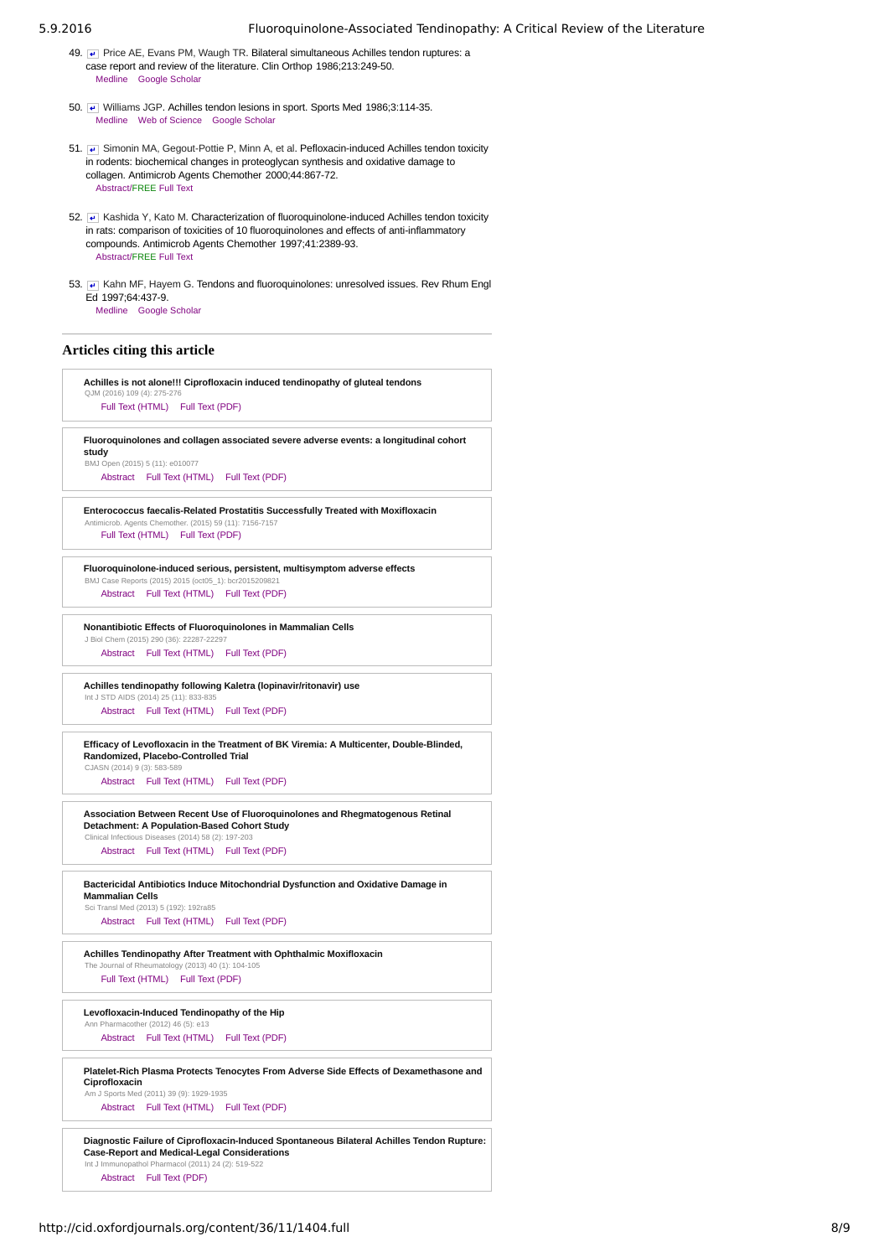- 49. Price AE, Evans PM, Waugh TR. Bilateral simultaneous Achilles tendon ruptures: a case report and review of the literature. Clin Orthop 1986;213:249-50. [Medline](http://cid.oxfordjournals.org/external-ref?access_num=3780100&link_type=MED) Google [Scholar](http://scholar.google.com/scholar_lookup?title=Bilateral%20simultaneous%20Achilles%20tendon%20ruptures%3A%20a%20case%20report%20and%20review%20of%20the%20literature&author=AE%20Price&author=PM%20Evans&author=TR%20Waugh&publication_year=1986&journal=Clin%20Orthop&volume=213&pages=249-50)
- 50. [↵](http://cid.oxfordjournals.org/content/36/11/1404.full#xref-ref-50-1) Williams JGP. Achilles tendon lesions in sport. Sports Med 1986;3:11435. [Medline](http://cid.oxfordjournals.org/external-ref?access_num=3515485&link_type=MED) Web of [Science](http://cid.oxfordjournals.org/external-ref?access_num=A1986A637500003&link_type=ISI) Google [Scholar](http://scholar.google.com/scholar_lookup?title=Achilles%20tendon%20lesions%20in%20sport&author=JGP%20Williams&publication_year=1986&journal=Sports%20Med&volume=3&pages=114-35)
- 51. J Simonin MA, Gegout-Pottie P, Minn A, et al. Pefloxacin-induced Achilles tendon toxicity in rodents: biochemical changes in proteoglycan synthesis and oxidative damage to collagen. Antimicrob Agents Chemother 2000;44:867-72. [Abstract/FREE](http://cid.oxfordjournals.org/cgi/ijlink?linkType=ABST&journalCode=aac&resid=44/4/867) Full Text
- 52. Kashida Y, Kato M. Characterization of fluoroquinolone-induced Achilles tendon toxicity in rats: comparison of toxicities of 10 fluoroquinolones and effects of anti-inflammatory compounds. Antimicrob Agents Chemother 1997;41:2389-93. [Abstract/FREE](http://cid.oxfordjournals.org/cgi/ijlink?linkType=ABST&journalCode=aac&resid=41/11/2389) Full Text
- 53. ⊌ Kahn MF, Hayem G. Tendons and fluoroquinolones: unresolved issues. Rev Rhum Engl Ed 1997;64:437-9. [Medline](http://cid.oxfordjournals.org/external-ref?access_num=9338923&link_type=MED) Google [Scholar](http://scholar.google.com/scholar_lookup?title=Tendons%20and%20fluoroquinolones%3A%20unresolved%20issues&author=MF%20Kahn&author=G%20Hayem&publication_year=1997&journal=Rev%20Rhum%20Engl%20Ed&volume=64&pages=437-9)

## **Articles citing this article**

| Achilles is not alone!!! Ciprofloxacin induced tendinopathy of gluteal tendons<br>QJM (2016) 109 (4): 275-276 |                                                                                     |                                                                    |                                                                                            |  |
|---------------------------------------------------------------------------------------------------------------|-------------------------------------------------------------------------------------|--------------------------------------------------------------------|--------------------------------------------------------------------------------------------|--|
| Full Text (HTML) Full Text (PDF)                                                                              |                                                                                     |                                                                    |                                                                                            |  |
|                                                                                                               |                                                                                     |                                                                    | Fluoroquinolones and collagen associated severe adverse events: a longitudinal cohort      |  |
| study                                                                                                         |                                                                                     |                                                                    |                                                                                            |  |
| BMJ Open (2015) 5 (11): e010077                                                                               |                                                                                     |                                                                    |                                                                                            |  |
|                                                                                                               | Abstract Full Text (HTML) Full Text (PDF)                                           |                                                                    |                                                                                            |  |
|                                                                                                               |                                                                                     |                                                                    | Enterococcus faecalis-Related Prostatitis Successfully Treated with Moxifloxacin           |  |
|                                                                                                               | Antimicrob. Agents Chemother. (2015) 59 (11): 7156-7157                             |                                                                    |                                                                                            |  |
|                                                                                                               | Full Text (HTML) Full Text (PDF)                                                    |                                                                    |                                                                                            |  |
|                                                                                                               |                                                                                     |                                                                    | Fluoroquinolone-induced serious, persistent, multisymptom adverse effects                  |  |
|                                                                                                               | BMJ Case Reports (2015) 2015 (oct05_1): bcr2015209821                               |                                                                    |                                                                                            |  |
|                                                                                                               | Abstract Full Text (HTML) Full Text (PDF)                                           |                                                                    |                                                                                            |  |
|                                                                                                               |                                                                                     | Nonantibiotic Effects of Fluoroquinolones in Mammalian Cells       |                                                                                            |  |
|                                                                                                               | J Biol Chem (2015) 290 (36): 22287-22297                                            |                                                                    |                                                                                            |  |
|                                                                                                               | Abstract Full Text (HTML) Full Text (PDF)                                           |                                                                    |                                                                                            |  |
|                                                                                                               |                                                                                     |                                                                    |                                                                                            |  |
|                                                                                                               | Int J STD AIDS (2014) 25 (11): 833-835                                              | Achilles tendinopathy following Kaletra (lopinavir/ritonavir) use  |                                                                                            |  |
|                                                                                                               | Abstract Full Text (HTML) Full Text (PDF)                                           |                                                                    |                                                                                            |  |
|                                                                                                               |                                                                                     |                                                                    | Efficacy of Levofloxacin in the Treatment of BK Viremia: A Multicenter, Double-Blinded,    |  |
|                                                                                                               | Randomized, Placebo-Controlled Trial                                                |                                                                    |                                                                                            |  |
| CJASN (2014) 9 (3): 583-589                                                                                   |                                                                                     |                                                                    |                                                                                            |  |
|                                                                                                               | Abstract Full Text (HTML) Full Text (PDF)                                           |                                                                    |                                                                                            |  |
|                                                                                                               |                                                                                     |                                                                    | Association Between Recent Use of Fluoroquinolones and Rhegmatogenous Retinal              |  |
|                                                                                                               | Detachment: A Population-Based Cohort Study                                         |                                                                    |                                                                                            |  |
|                                                                                                               | Clinical Infectious Diseases (2014) 58 (2): 197-203                                 |                                                                    |                                                                                            |  |
| Abstract                                                                                                      | Full Text (HTML) Full Text (PDF)                                                    |                                                                    |                                                                                            |  |
|                                                                                                               |                                                                                     |                                                                    | Bactericidal Antibiotics Induce Mitochondrial Dysfunction and Oxidative Damage in          |  |
| <b>Mammalian Cells</b>                                                                                        |                                                                                     |                                                                    |                                                                                            |  |
|                                                                                                               | Sci Transl Med (2013) 5 (192): 192ra85                                              |                                                                    |                                                                                            |  |
|                                                                                                               | Abstract Full Text (HTML) Full Text (PDF)                                           |                                                                    |                                                                                            |  |
|                                                                                                               |                                                                                     | Achilles Tendinopathy After Treatment with Ophthalmic Moxifloxacin |                                                                                            |  |
|                                                                                                               | The Journal of Rheumatology (2013) 40 (1): 104-105                                  |                                                                    |                                                                                            |  |
|                                                                                                               | Full Text (HTML) Full Text (PDF)                                                    |                                                                    |                                                                                            |  |
|                                                                                                               |                                                                                     |                                                                    |                                                                                            |  |
|                                                                                                               | Levofloxacin-Induced Tendinopathy of the Hip<br>Ann Pharmacother (2012) 46 (5): e13 |                                                                    |                                                                                            |  |
| Abstract                                                                                                      | Full Text (HTML)                                                                    | Full Text (PDF)                                                    |                                                                                            |  |
|                                                                                                               |                                                                                     |                                                                    |                                                                                            |  |
| Ciprofloxacin                                                                                                 |                                                                                     |                                                                    | Platelet-Rich Plasma Protects Tenocytes From Adverse Side Effects of Dexamethasone and     |  |
|                                                                                                               | Am J Sports Med (2011) 39 (9): 1929-1935                                            |                                                                    |                                                                                            |  |
| Abstract                                                                                                      | Full Text (HTML) Full Text (PDF)                                                    |                                                                    |                                                                                            |  |
|                                                                                                               |                                                                                     |                                                                    | Diagnostic Failure of Ciprofloxacin-Induced Spontaneous Bilateral Achilles Tendon Rupture: |  |
|                                                                                                               | Case-Report and Medical-Legal Considerations                                        |                                                                    |                                                                                            |  |
|                                                                                                               | Int J Immunopathol Pharmacol (2011) 24 (2): 519-522                                 |                                                                    |                                                                                            |  |
| Abstract                                                                                                      | Full Text (PDF)                                                                     |                                                                    |                                                                                            |  |